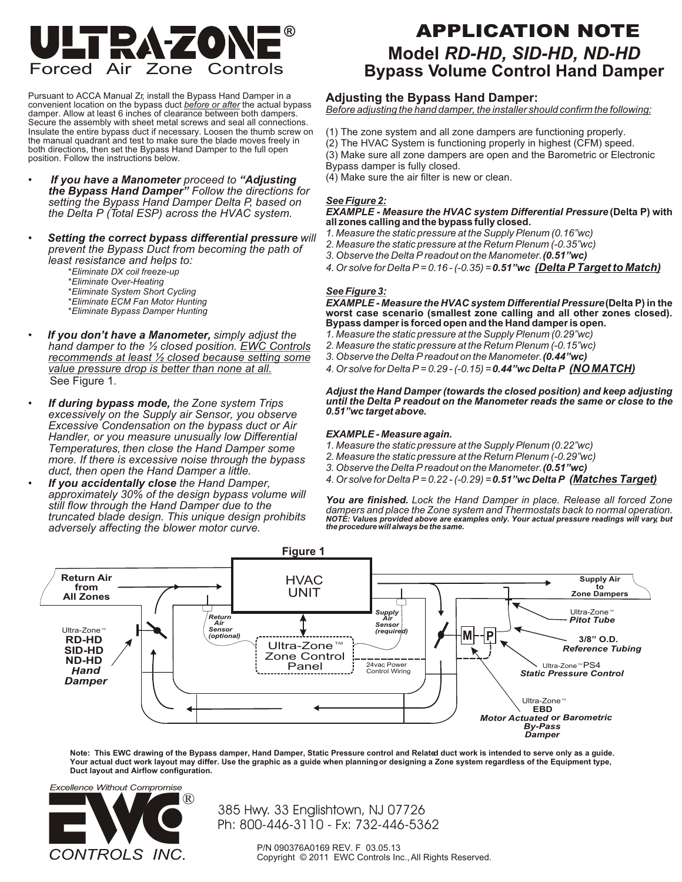

Pursuant to ACCA Manual Zr, install the Bypass Hand Damper in a convenient location on the bypass duct *before or after* the actual bypass damper. Allow at least 6 inches of clearance between both dampers. Secure the assembly with sheet metal screws and seal all connections. Insulate the entire bypass duct if necessary. Loosen the thumb screw on the manual quadrant and test to make sure the blade moves freely in both directions, then set the Bypass Hand Damper to the full open position. Follow the instructions below.

- • *If you have a Manometer proceed to "Adjusting the Bypass Hand Damper" Follow the directions for setting the Bypass Hand Damper Delta P, based on the Delta P (Total ESP) across the HVAC system.*
- • *Setting the correct bypass differential pressure will prevent the Bypass Duct from becoming the path of least resistance and helps to:*
	- \**Eliminate DX coil freeze-up*
	- \**Eliminate Over-Heating*
	- \**Eliminate System Short Cycling*
	- \**Eliminate ECM Fan Motor Hunting*
	- \**Eliminate Bypass Damper Hunting*
- • *If you don't have a Manometer, simply adjust the hand damper to the ½ closed position. EWC Controls recommends at least ½ closed because setting some value pressure drop is better than none at all.*  See Figure 1.
- *If during bypass mode, the Zone system Trips excessively on the Supply air Sensor, you observe Excessive Condensation on the bypass duct or Air Handler, or you measure unusually low Differential*  **Temperatures, then close the Hand Damper some** *more. If there is excessive noise through the bypass duct, then open the Hand Damper a little.*
- *If you accidentally close the Hand Damper, approximately 30% of the design bypass volume will still flow through the Hand Damper due to the truncated blade design. This unique design prohibits adversely affecting the blower motor curve.*

# **Model** *RD-HD, SID-HD, ND-HD*  **Bypass Volume Control Hand Damper APPLICATION NOTE**

## **Adjusting the Bypass Hand Damper:**

*Before adjusting the hand damper, the installer should confirm the following:*

- (1) The zone system and all zone dampers are functioning properly.
- (2) The HVAC System is functioning properly in highest (CFM) speed.
- (3) Make sure all zone dampers are open and the Barometric or Electronic
- Bypass damper is fully closed.
- (4) Make sure the air filter is new or clean.

### *See Figure 2:*

#### *EXAMPLE - Measure the HVAC system Differential Pressure* **(Delta P) with all zones calling and the bypass fully closed.**

- *1. Measure the static pressure at the Supply Plenum (0.16"wc)*
- *2. Measure the static pressure at the Return Plenum (-0.35"wc)*
- *3. Observe the Delta P readout on the Manometer. (0.51"wc)*
- *4. Or solve for Delta P = 0.16 (-0.35) = 0.51"wc (Delta P Target to Match)*

#### *See Figure 3:*

*EXAMPLE - Measure the HVAC system Differential Pressure* **(Delta P) in the worst case scenario (smallest zone calling and all other zones closed). Bypass damper is forced open and the Hand damper is open.** 

- *1. Measure the static pressure at the Supply Plenum (0.29"wc)*
- *2. Measure the static pressure at the Return Plenum (-0.15"wc)*
- *3. Observe the Delta P readout on the Manometer. (0.44"wc)*
- *4. Or solve for Delta P = 0.29 (-0.15) = 0.44"wc Delta P (NO MATCH)*

#### *Adjust the Hand Damper (towards the closed position) and keep adjusting until the Delta P readout on the Manometer reads the same or close to the 0.51"wc target above.*

#### *EXAMPLE - Measure again.*

- *1. Measure the static pressure at the Supply Plenum (0.22"wc)*
- *2. Measure the static pressure at the Return Plenum (-0.29"wc)*
- *3. Observe the Delta P readout on the Manometer. (0.51"wc)*
- *4. Or solve for Delta P = 0.22 (-0.29) = 0.51"wc Delta P (Matches Target)*

*You are finished. Lock the Hand Damper in place. Release all forced Zone dampers and place the Zone system and Thermostats back to normal operation. NOTE: Values provided above are examples only. Your actual pressure readings will vary, but the procedure will always be the same.*



**Note: This EWC drawing of the Bypass damper, Hand Damper, Static Pressure control and Related duct work is intended to serve only as a guide. Your actual duct work layout may differ. Use the graphic as a guide when planning or designing a Zone system regardless of the Equipment type, Duct layout and Airflow configuration.**



385 Hwy. 33 Englishtown, NJ 07726 Ph: 800-446-3110 - Fx: 732-446-5362

> P/N 090376A0169 REV. F 03.05.13 Copyright © 2011 EWC Controls Inc., All Rights Reserved.